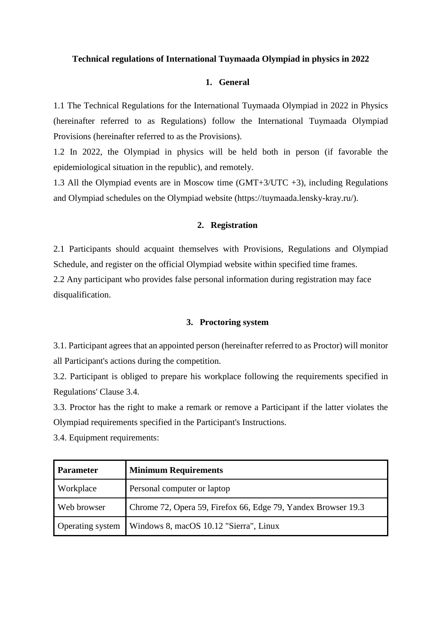### **Technical regulations of International Tuymaada Olympiad in physics in 2022**

### **1. General**

1.1 The Technical Regulations for the International Tuymaada Olympiad in 2022 in Physics (hereinafter referred to as Regulations) follow the International Tuymaada Olympiad Provisions (hereinafter referred to as the Provisions).

1.2 In 2022, the Olympiad in physics will be held both in person (if favorable the epidemiological situation in the republic), and remotely.

1.3 All the Olympiad events are in Moscow time (GMT+3/UTC +3), including Regulations and Olympiad schedules on the Olympiad website (https://tuymaada.lensky-kray.ru/).

#### **2. Registration**

2.1 Participants should acquaint themselves with Provisions, Regulations and Olympiad Schedule, and register on the official Olympiad website within specified time frames. 2.2 Any participant who provides false personal information during registration may face disqualification.

### **3. Proctoring system**

3.1. Participant agrees that an appointed person (hereinafter referred to as Proctor) will monitor all Participant's actions during the competition.

3.2. Participant is obliged to prepare his workplace following the requirements specified in Regulations' Clause 3.4.

3.3. Proctor has the right to make a remark or remove a Participant if the latter violates the Olympiad requirements specified in the Participant's Instructions.

3.4. Equipment requirements:

| <b>Parameter</b> | <b>Minimum Requirements</b>                                   |
|------------------|---------------------------------------------------------------|
| Workplace        | Personal computer or laptop                                   |
| Web browser      | Chrome 72, Opera 59, Firefox 66, Edge 79, Yandex Browser 19.3 |
| Operating system | Windows 8, macOS 10.12 "Sierra", Linux                        |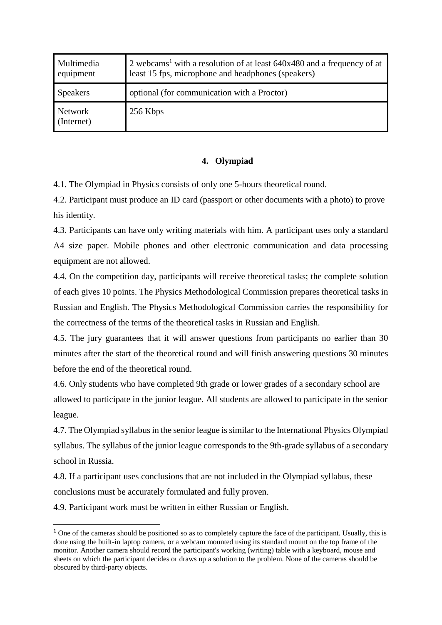| Multimedia<br>equipment | 2 webcams <sup>1</sup> with a resolution of at least $640x480$ and a frequency of at<br>least 15 fps, microphone and headphones (speakers) |
|-------------------------|--------------------------------------------------------------------------------------------------------------------------------------------|
| <b>Speakers</b>         | optional (for communication with a Proctor)                                                                                                |
| Network<br>(Internet)   | 256 Kbps                                                                                                                                   |

# **4. Olympiad**

4.1. The Olympiad in Physics consists of only one 5-hours theoretical round.

4.2. Participant must produce an ID card (passport or other documents with a photo) to prove his identity.

4.3. Participants can have only writing materials with him. A participant uses only a standard A4 size paper. Mobile phones and other electronic communication and data processing equipment are not allowed.

4.4. On the competition day, participants will receive theoretical tasks; the complete solution of each gives 10 points. The Physics Methodological Commission prepares theoretical tasks in Russian and English. The Physics Methodological Commission carries the responsibility for the correctness of the terms of the theoretical tasks in Russian and English.

4.5. The jury guarantees that it will answer questions from participants no earlier than 30 minutes after the start of the theoretical round and will finish answering questions 30 minutes before the end of the theoretical round.

4.6. Only students who have completed 9th grade or lower grades of a secondary school are allowed to participate in the junior league. All students are allowed to participate in the senior league.

4.7. The Olympiad syllabus in the senior league is similar to the International Physics Olympiad syllabus. The syllabus of the junior league corresponds to the 9th-grade syllabus of a secondary school in Russia.

4.8. If a participant uses conclusions that are not included in the Olympiad syllabus, these conclusions must be accurately formulated and fully proven.

4.9. Participant work must be written in either Russian or English.

-

<sup>&</sup>lt;sup>1</sup> One of the cameras should be positioned so as to completely capture the face of the participant. Usually, this is done using the built-in laptop camera, or a webcam mounted using its standard mount on the top frame of the monitor. Another camera should record the participant's working (writing) table with a keyboard, mouse and sheets on which the participant decides or draws up a solution to the problem. None of the cameras should be obscured by third-party objects.